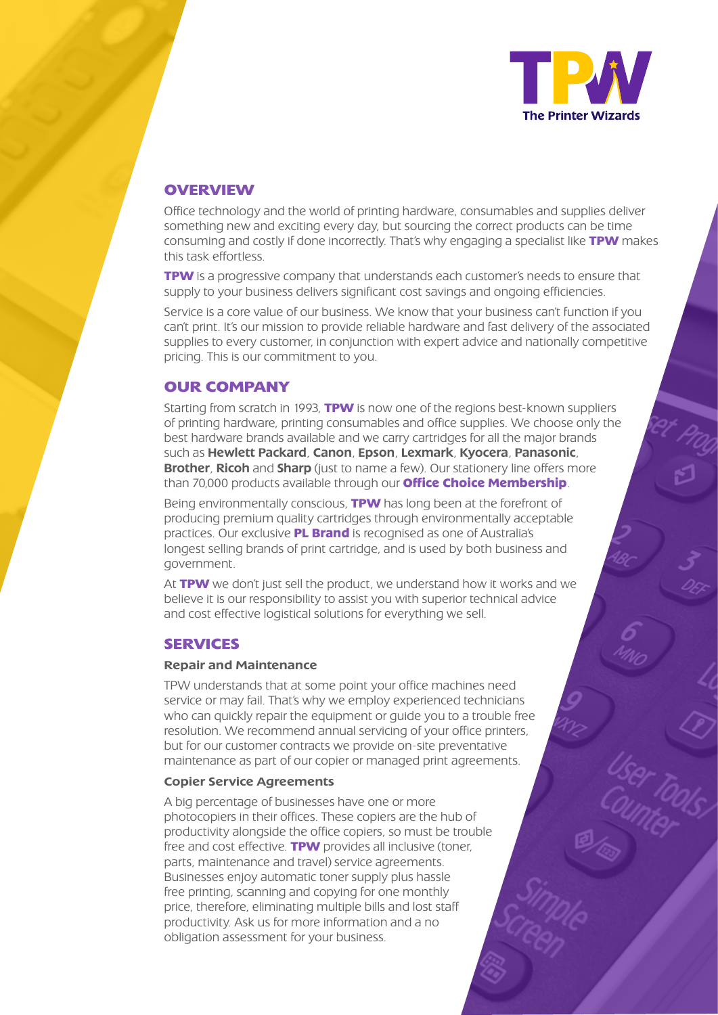

# **OVERVIEW**

Office technology and the world of printing hardware, consumables and supplies deliver something new and exciting every day, but sourcing the correct products can be time consuming and costly if done incorrectly. That's why engaging a specialist like **TPW** makes this task effortless.

**TPW** is a progressive company that understands each customer's needs to ensure that supply to your business delivers significant cost savings and ongoing efficiencies.

Service is a core value of our business. We know that your business can't function if you can't print. It's our mission to provide reliable hardware and fast delivery of the associated supplies to every customer, in conjunction with expert advice and nationally competitive pricing. This is our commitment to you.

# **OUR COMPANY**

Starting from scratch in 1993, **TPW** is now one of the regions best-known suppliers of printing hardware, printing consumables and office supplies. We choose only the best hardware brands available and we carry cartridges for all the major brands such as Hewlett Packard, Canon, Epson, Lexmark, Kyocera, Panasonic, Brother, Ricoh and Sharp (just to name a few). Our stationery line offers more than 70,000 products available through our **Office Choice Membership**.

Being environmentally conscious, **TPW** has long been at the forefront of producing premium quality cartridges through environmentally acceptable practices. Our exclusive **PL Brand** is recognised as one of Australia's longest selling brands of print cartridge, and is used by both business and government.

At **TPW** we don't just sell the product, we understand how it works and we believe it is our responsibility to assist you with superior technical advice and cost effective logistical solutions for everything we sell.

## **SERVICES**

#### Repair and Maintenance

TPW understands that at some point your office machines need service or may fail. That's why we employ experienced technicians who can quickly repair the equipment or guide you to a trouble free resolution. We recommend annual servicing of your office printers, but for our customer contracts we provide on-site preventative maintenance as part of our copier or managed print agreements.

#### Copier Service Agreements

A big percentage of businesses have one or more photocopiers in their offices. These copiers are the hub of productivity alongside the office copiers, so must be trouble free and cost effective. **TPW** provides all inclusive (toner, parts, maintenance and travel) service agreements. Businesses enjoy automatic toner supply plus hassle free printing, scanning and copying for one monthly price, therefore, eliminating multiple bills and lost staff productivity. Ask us for more information and a no obligation assessment for your business.